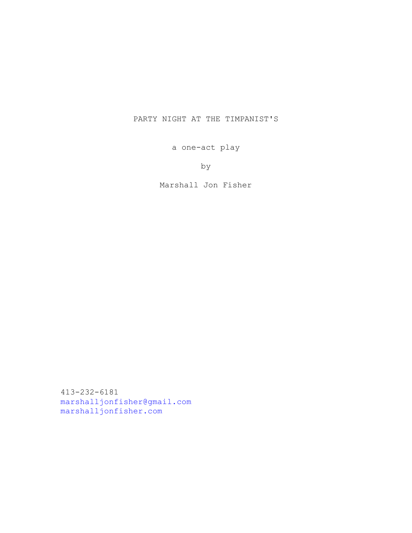# PARTY NIGHT AT THE TIMPANIST'S

a one-act play

by

Marshall Jon Fisher

413-232-6181 [marshalljonfisher@gmail.com](mailto:marshalljonfisher@gmail.com) [marshalljonfisher.com](http://marshalljonfisher.com)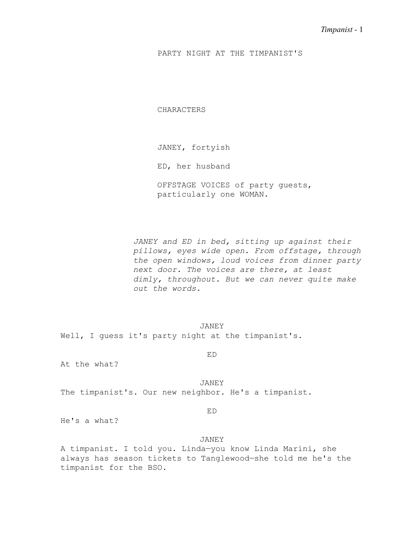PARTY NIGHT AT THE TIMPANIST'S

CHARACTERS

JANEY, fortyish

ED, her husband

OFFSTAGE VOICES of party guests, particularly one WOMAN.

*JANEY and ED in bed, sitting up against their pillows, eyes wide open. From offstage, through the open windows, loud voices from dinner party next door. The voices are there, at least dimly, throughout. But we can never quite make out the words.*

JANEY Well, I guess it's party night at the timpanist's.

ED

At the what?

JANEY The timpanist's. Our new neighbor. He's a timpanist.

ED

He's a what?

## JANEY

A timpanist. I told you. Linda—you know Linda Marini, she always has season tickets to Tanglewood—she told me he's the timpanist for the BSO.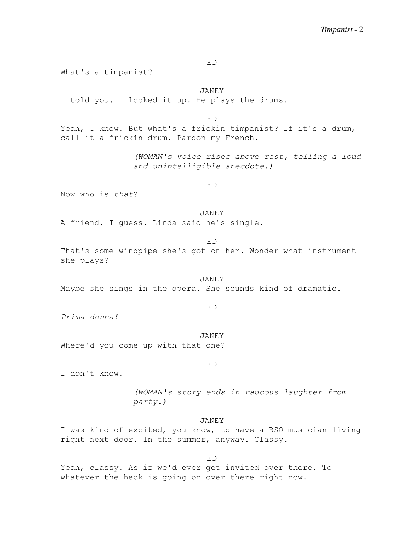ED

What's a timpanist?

JANEY I told you. I looked it up. He plays the drums.

ED Yeah, I know. But what's a frickin timpanist? If it's a drum, call it a frickin drum. Pardon my French.

> *(WOMAN's voice rises above rest, telling a loud and unintelligible anecdote.)*

> > ED

Now who is *that*?

JANEY A friend, I guess. Linda said he's single.

ED

That's some windpipe she's got on her. Wonder what instrument she plays?

JANEY Maybe she sings in the opera. She sounds kind of dramatic.

ED

*Prima donna!*

JANEY Where'd you come up with that one?

ED

I don't know.

*(WOMAN's story ends in raucous laughter from party.)*

JANEY

I was kind of excited, you know, to have a BSO musician living right next door. In the summer, anyway. Classy.

ED

Yeah, classy. As if we'd ever get invited over there. To whatever the heck is going on over there right now.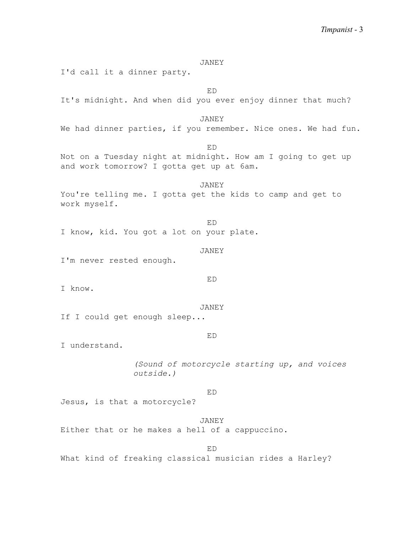JANEY I'd call it a dinner party.

ED It's midnight. And when did you ever enjoy dinner that much? JANEY We had dinner parties, if you remember. Nice ones. We had fun. ED Not on a Tuesday night at midnight. How am I going to get up and work tomorrow? I gotta get up at 6am. JANEY You're telling me. I gotta get the kids to camp and get to work myself. ED I know, kid. You got a lot on your plate. JANEY I'm never rested enough. ED I know. JANEY If I could get enough sleep... ED I understand. *(Sound of motorcycle starting up, and voices outside.)* ED Jesus, is that a motorcycle? JANEY Either that or he makes a hell of a cappuccino.

ED

What kind of freaking classical musician rides a Harley?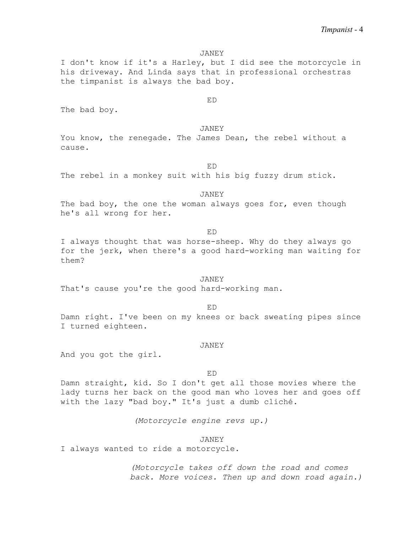I don't know if it's a Harley, but I did see the motorcycle in his driveway. And Linda says that in professional orchestras the timpanist is always the bad boy.

ED

The bad boy.

JANEY

You know, the renegade. The James Dean, the rebel without a cause.

ED

The rebel in a monkey suit with his big fuzzy drum stick.

JANEY

The bad boy, the one the woman always goes for, even though he's all wrong for her.

ED

I always thought that was horse-sheep. Why do they always go for the jerk, when there's a good hard-working man waiting for them?

## JANEY

That's cause you're the good hard-working man.

ED

Damn right. I've been on my knees or back sweating pipes since I turned eighteen.

### JANEY

And you got the girl.

## ED

Damn straight, kid. So I don't get all those movies where the lady turns her back on the good man who loves her and goes off with the lazy "bad boy." It's just a dumb cliché.

*(Motorcycle engine revs up.)*

## JANEY

I always wanted to ride a motorcycle.

*(Motorcycle takes off down the road and comes back. More voices. Then up and down road again.)*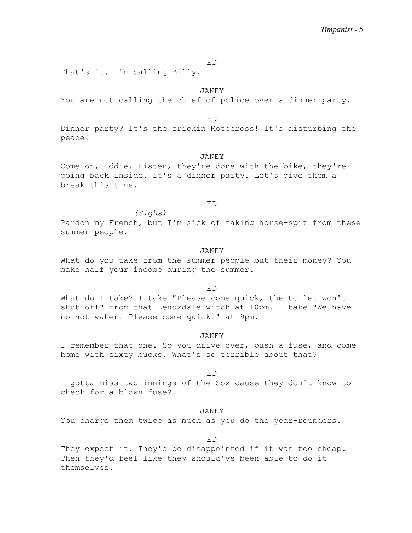ED

That's it. I'm calling Billy.

JANEY

You are not calling the chief of police over a dinner party.

ED

Dinner party? It's the frickin Motocross! It's disturbing the peace!

### JANEY

Come on, Eddie. Listen, they're done with the bike, they're going back inside. It's a dinner party. Let's give them a break this time.

## ED

*(Sighs)*

Pardon my French, but I'm sick of taking horse-spit from these summer people.

## JANEY

What do you take from the summer people but their money? You make half your income during the summer.

#### ED

What do I take? I take "Please come quick, the toilet won't shut off" from that Lenoxdale witch at 10pm. I take "We have no hot water! Please come quick!" at 9pm.

#### JANEY

I remember that one. So you drive over, push a fuse, and come home with sixty bucks. What's so terrible about that?

## ED

I gotta miss two innings of the Sox cause they don't know to check for a blown fuse?

## JANEY

You charge them twice as much as you do the year-rounders.

ED

They expect it. They'd be disappointed if it was too cheap. Then they'd feel like they should've been able to do it themselves.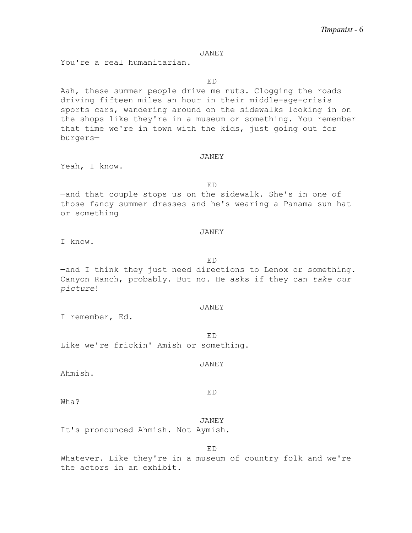You're a real humanitarian.

ED

Aah, these summer people drive me nuts. Clogging the roads driving fifteen miles an hour in their middle-age-crisis sports cars, wandering around on the sidewalks looking in on the shops like they're in a museum or something. You remember that time we're in town with the kids, just going out for burgers—

## JANEY

Yeah, I know.

ED

—and that couple stops us on the sidewalk. She's in one of those fancy summer dresses and he's wearing a Panama sun hat or something—

### JANEY

I know.

ED

—and I think they just need directions to Lenox or something. Canyon Ranch, probably. But no. He asks if they can *take our picture*!

#### JANEY

I remember, Ed.

ED Like we're frickin' Amish or something.

#### JANEY

Ahmish.

Wha?

JANEY It's pronounced Ahmish. Not Aymish.

ED Whatever. Like they're in a museum of country folk and we're the actors in an exhibit.

## ED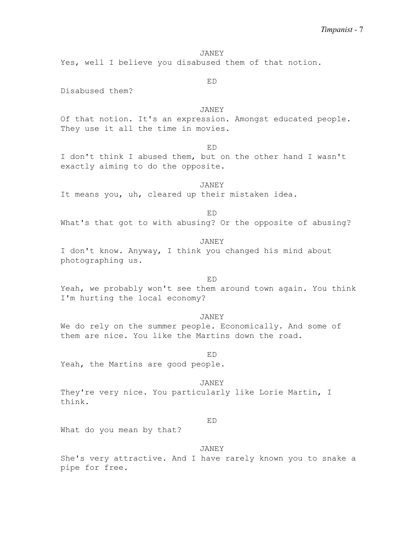Yes, well I believe you disabused them of that notion.

Disabused them?

JANEY

ED

ED

Of that notion. It's an expression. Amongst educated people. They use it all the time in movies.

I don't think I abused them, but on the other hand I wasn't exactly aiming to do the opposite.

JANEY It means you, uh, cleared up their mistaken idea.

ED

What's that got to with abusing? Or the opposite of abusing?

## JANEY

I don't know. Anyway, I think you changed his mind about photographing us.

### ED

Yeah, we probably won't see them around town again. You think I'm hurting the local economy?

JANEY

We do rely on the summer people. Economically. And some of them are nice. You like the Martins down the road.

#### ED

Yeah, the Martins are good people.

## JANEY

They're very nice. You particularly like Lorie Martin, I think.

#### ED

What do you mean by that?

### JANEY

She's very attractive. And I have rarely known you to snake a pipe for free.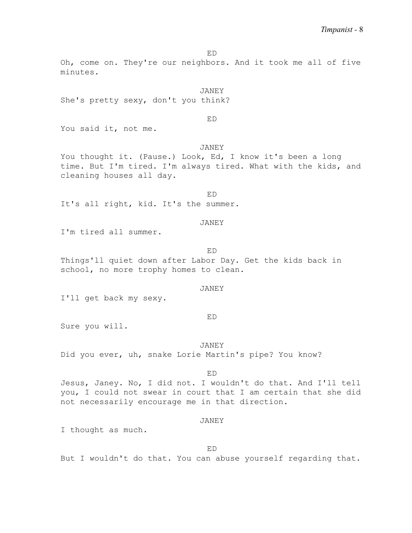ED

Oh, come on. They're our neighbors. And it took me all of five minutes.

JANEY She's pretty sexy, don't you think?

ED

You said it, not me.

JANEY

You thought it. (Pause.) Look, Ed, I know it's been a long time. But I'm tired. I'm always tired. What with the kids, and cleaning houses all day.

ED

It's all right, kid. It's the summer.

## JANEY

I'm tired all summer.

ED

Things'll quiet down after Labor Day. Get the kids back in school, no more trophy homes to clean.

## JANEY

I'll get back my sexy.

#### ED

Sure you will.

JANEY Did you ever, uh, snake Lorie Martin's pipe? You know?

## ED

Jesus, Janey. No, I did not. I wouldn't do that. And I'll tell you, I could not swear in court that I am certain that she did not necessarily encourage me in that direction.

#### JANEY

I thought as much.

## ED

But I wouldn't do that. You can abuse yourself regarding that.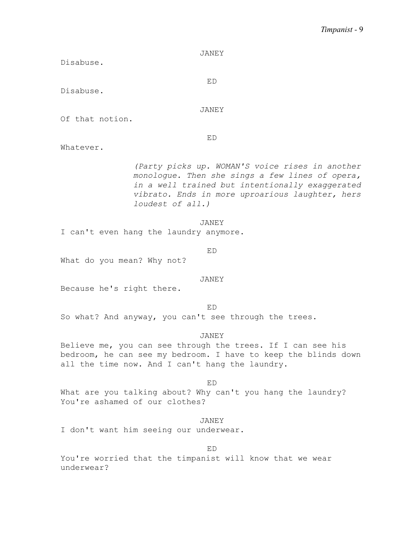# *Timpanist -* 9

| <b>JANEY</b>                                                                                                                                                                                                                 |
|------------------------------------------------------------------------------------------------------------------------------------------------------------------------------------------------------------------------------|
| Disabuse.                                                                                                                                                                                                                    |
|                                                                                                                                                                                                                              |
| ED<br>Disabuse.                                                                                                                                                                                                              |
|                                                                                                                                                                                                                              |
| JANEY                                                                                                                                                                                                                        |
| Of that notion.                                                                                                                                                                                                              |
|                                                                                                                                                                                                                              |
| ED                                                                                                                                                                                                                           |
| Whatever.                                                                                                                                                                                                                    |
| (Party picks up. WOMAN'S voice rises in another<br>monologue. Then she sings a few lines of opera,<br>in a well trained but intentionally exaggerated<br>vibrato. Ends in more uproarious laughter, hers<br>loudest of all.) |
| JANEY                                                                                                                                                                                                                        |
| I can't even hang the laundry anymore.                                                                                                                                                                                       |
|                                                                                                                                                                                                                              |
| ED                                                                                                                                                                                                                           |
| What do you mean? Why not?                                                                                                                                                                                                   |
| JANEY                                                                                                                                                                                                                        |
| Because he's right there.                                                                                                                                                                                                    |
|                                                                                                                                                                                                                              |
| ED<br>So what? And anyway, you can't see through the trees.                                                                                                                                                                  |
| JANEY                                                                                                                                                                                                                        |
| Believe me, you can see through the trees. If I can see his                                                                                                                                                                  |
| bedroom, he can see my bedroom. I have to keep the blinds down                                                                                                                                                               |
| all the time now. And I can't hang the laundry.                                                                                                                                                                              |

ED What are you talking about? Why can't you hang the laundry? You're ashamed of our clothes?

JANEY I don't want him seeing our underwear.

You're worried that the timpanist will know that we wear underwear?

ED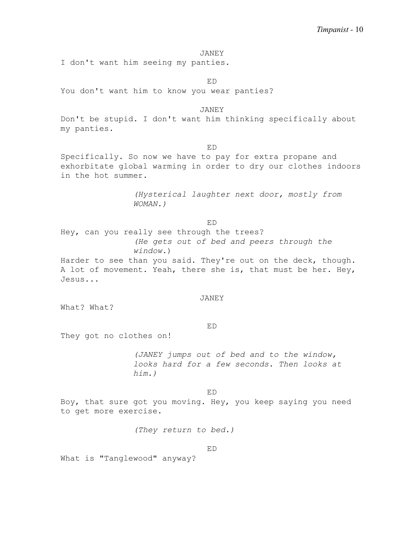I don't want him seeing my panties.

ED

You don't want him to know you wear panties?

JANEY

Don't be stupid. I don't want him thinking specifically about my panties.

ED

Specifically. So now we have to pay for extra propane and exhorbitate global warming in order to dry our clothes indoors in the hot summer.

> *(Hysterical laughter next door, mostly from WOMAN.)*

> > ED

Hey, can you really see through the trees? *(He gets out of bed and peers through the window*.)

Harder to see than you said. They're out on the deck, though. A lot of movement. Yeah, there she is, that must be her. Hey, Jesus...

#### JANEY

What? What?

### ED

They got no clothes on!

*(JANEY jumps out of bed and to the window, looks hard for a few seconds. Then looks at him.)*

ED

Boy, that sure got you moving. Hey, you keep saying you need to get more exercise.

*(They return to bed.)*

ED

What is "Tanglewood" anyway?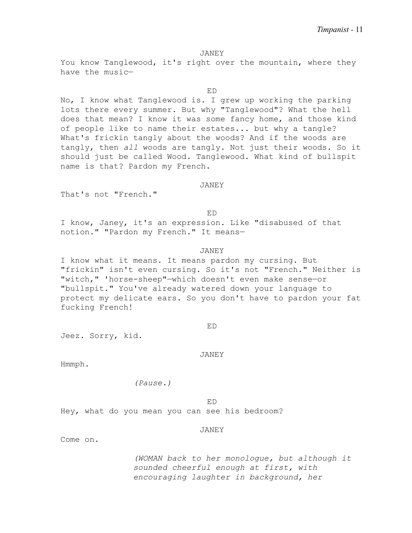You know Tanglewood, it's right over the mountain, where they have the music—

ED

No, I know what Tanglewood is. I grew up working the parking lots there every summer. But why "Tanglewood"? What the hell does that mean? I know it was some fancy home, and those kind of people like to name their estates... but why a tangle? What's frickin tangly about the woods? And if the woods are tangly, then *all* woods are tangly. Not just their woods. So it should just be called Wood. Tanglewood. What kind of bullspit name is that? Pardon my French.

## JANEY

ED

That's not "French."

I know, Janey, it's an expression. Like "disabused of that notion." "Pardon my French." It means—

## JANEY

I know what it means. It means pardon my cursing. But "frickin" isn't even cursing. So it's not "French." Neither is "witch," 'horse-sheep"—which doesn't even make sense—or "bullspit." You've already watered down your language to protect my delicate ears. So you don't have to pardon your fat fucking French!

Jeez. Sorry, kid.

JANEY

ED

Hmmph.

*(Pause.)*

ED Hey, what do you mean you can see his bedroom?

#### JANEY

Come on.

*(WOMAN back to her monologue, but although it sounded cheerful enough at first, with encouraging laughter in background, her*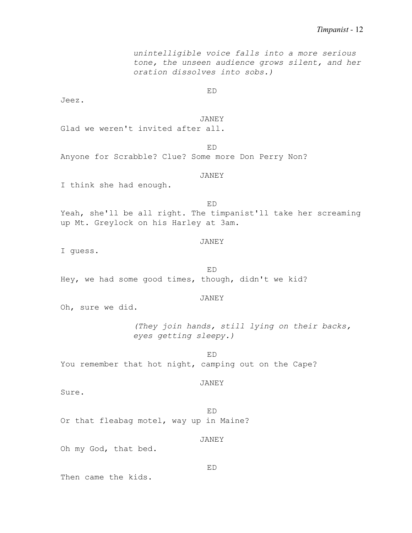*unintelligible voice falls into a more serious tone, the unseen audience grows silent, and her oration dissolves into sobs.)* ED Jeez. JANEY Glad we weren't invited after all. ED Anyone for Scrabble? Clue? Some more Don Perry Non? JANEY I think she had enough. ED Yeah, she'll be all right. The timpanist'll take her screaming up Mt. Greylock on his Harley at 3am. JANEY I guess. ED Hey, we had some good times, though, didn't we kid? JANEY Oh, sure we did. *(They join hands, still lying on their backs, eyes getting sleepy.)* ED You remember that hot night, camping out on the Cape? JANEY Sure. ED Or that fleabag motel, way up in Maine? JANEY Oh my God, that bed. ED Then came the kids.